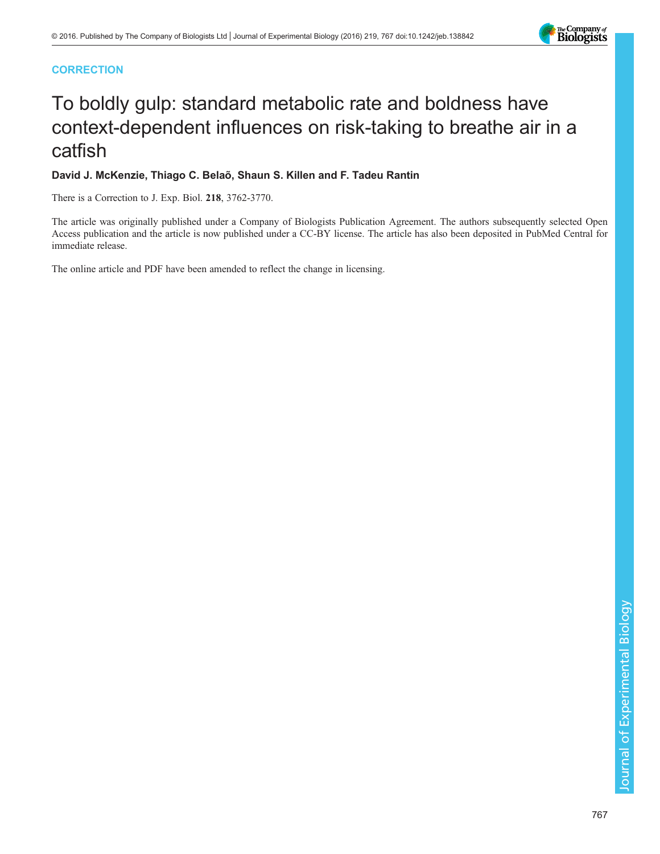# **CORRECTION**

# To boldly gulp: standard metabolic rate and boldness have context-dependent influences on risk-taking to breathe air in a catfish

# David J. McKenzie, Thiago C. Belaõ, Shaun S. Killen and F. Tadeu Rantin

There is a Correction to J. Exp. Biol. 218, 3762-3770.

The article was originally published under a Company of Biologists Publication Agreement. The authors subsequently selected Open Access publication and the article is now published under a CC-BY license. The article has also been deposited in PubMed Central for immediate release.

The online article and PDF have been amended to reflect the change in licensing.

The Company of<br>**Biologists**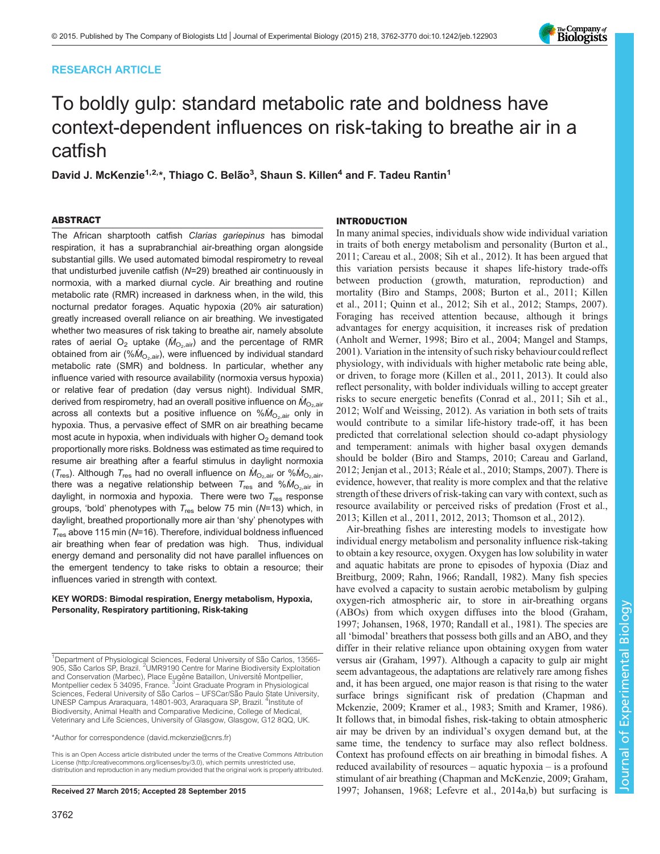# RESEARCH ARTICLE



# To boldly gulp: standard metabolic rate and boldness have context-dependent influences on risk-taking to breathe air in a catfish

David J. McKenzie<sup>1,2,</sup>\*, Thiago C. Belão<sup>3</sup>, Shaun S. Killen<sup>4</sup> and F. Tadeu Rantin<sup>1</sup>

# ABSTRACT

The African sharptooth catfish Clarias gariepinus has bimodal respiration, it has a suprabranchial air-breathing organ alongside substantial gills. We used automated bimodal respirometry to reveal that undisturbed juvenile catfish (N=29) breathed air continuously in normoxia, with a marked diurnal cycle. Air breathing and routine metabolic rate (RMR) increased in darkness when, in the wild, this nocturnal predator forages. Aquatic hypoxia (20% air saturation) greatly increased overall reliance on air breathing. We investigated whether two measures of risk taking to breathe air, namely absolute rates of aerial  $O_2$  uptake ( $\dot{M}_{O_2,air}$ ) and the percentage of RMR obtained from air (% $\dot{M}_{\rm O_2,air}$ ), were influenced by individual standard metabolic rate (SMR) and boldness. In particular, whether any influence varied with resource availability (normoxia versus hypoxia) or relative fear of predation (day versus night). Individual SMR, derived from respirometry, had an overall positive influence on  $\dot{M}_{\odot,air}$ across all contexts but a positive influence on  $% M_{O_2,air}$  only in hypoxia. Thus, a pervasive effect of SMR on air breathing became most acute in hypoxia, when individuals with higher  $O<sub>2</sub>$  demand took proportionally more risks. Boldness was estimated as time required to resume air breathing after a fearful stimulus in daylight normoxia ( $T_{\text{res}}$ ). Although  $T_{\text{res}}$  had no overall influence on  $\dot{M}_{\text{O}_2,\text{air}}$  or % $\dot{M}_{\text{O}_2,\text{air}}$ , there was a negative relationship between  $T_{res}$  and  $% \dot{M}_{O_2,air}$  in daylight, in normoxia and hypoxia. There were two  $T_{res}$  response groups, 'bold' phenotypes with  $T_{res}$  below 75 min (N=13) which, in daylight, breathed proportionally more air than 'shy' phenotypes with  $T_{res}$  above 115 min (N=16). Therefore, individual boldness influenced air breathing when fear of predation was high. Thus, individual energy demand and personality did not have parallel influences on the emergent tendency to take risks to obtain a resource; their influences varied in strength with context.

### KEY WORDS: Bimodal respiration, Energy metabolism, Hypoxia, Personality, Respiratory partitioning, Risk-taking

\*Author for correspondence [\(david.mckenzie@cnrs.fr](mailto:david.mckenzie@cnrs.fr))

This is an Open Access article distributed under the terms of the Creative Commons Attribution License [\(http://creativecommons.org/licenses/by/3.0\)](http://creativecommons.org/licenses/by/3.0), which permits unrestricted use, distribution and reproduction in any medium provided that the original work is properly attributed.

## INTRODUCTION

In many animal species, individuals show wide individual variation in traits of both energy metabolism and personality ([Burton et al.,](#page-8-0) [2011; Careau et al., 2008;](#page-8-0) [Sih et al., 2012](#page-9-0)). It has been argued that this variation persists because it shapes life-history trade-offs between production (growth, maturation, reproduction) and mortality [\(Biro and Stamps, 2008; Burton et al., 2011](#page-8-0); [Killen](#page-8-0) [et al., 2011](#page-8-0); [Quinn et al., 2012](#page-8-0); [Sih et al., 2012; Stamps, 2007\)](#page-9-0). Foraging has received attention because, although it brings advantages for energy acquisition, it increases risk of predation [\(Anholt and Werner, 1998; Biro et al., 2004](#page-8-0); [Mangel and Stamps,](#page-8-0) [2001\)](#page-8-0). Variation in the intensity of such risky behaviour could reflect physiology, with individuals with higher metabolic rate being able, or driven, to forage more [\(Killen et al., 2011, 2013\)](#page-8-0). It could also reflect personality, with bolder individuals willing to accept greater risks to secure energetic benefits [\(Conrad et al., 2011](#page-8-0); [Sih et al.,](#page-9-0) [2012; Wolf and Weissing, 2012\)](#page-9-0). As variation in both sets of traits would contribute to a similar life-history trade-off, it has been predicted that correlational selection should co-adapt physiology and temperament: animals with higher basal oxygen demands should be bolder [\(Biro and Stamps, 2010; Careau and Garland,](#page-8-0) [2012; Jenjan et al., 2013;](#page-8-0) [Réale et al., 2010](#page-9-0); [Stamps, 2007\)](#page-9-0). There is evidence, however, that reality is more complex and that the relative strength of these drivers of risk-taking can vary with context, such as resource availability or perceived risks of predation [\(Frost et al.,](#page-8-0) [2013; Killen et al., 2011](#page-8-0), [2012](#page-8-0), [2013;](#page-8-0) [Thomson et al., 2012\)](#page-9-0).

Air-breathing fishes are interesting models to investigate how individual energy metabolism and personality influence risk-taking to obtain a key resource, oxygen. Oxygen has low solubility in water and aquatic habitats are prone to episodes of hypoxia ([Diaz and](#page-8-0) [Breitburg, 2009;](#page-8-0) [Rahn, 1966](#page-9-0); [Randall, 1982](#page-9-0)). Many fish species have evolved a capacity to sustain aerobic metabolism by gulping oxygen-rich atmospheric air, to store in air-breathing organs (ABOs) from which oxygen diffuses into the blood [\(Graham,](#page-8-0) [1997; Johansen, 1968, 1970;](#page-8-0) [Randall et al., 1981\)](#page-9-0). The species are all 'bimodal' breathers that possess both gills and an ABO, and they differ in their relative reliance upon obtaining oxygen from water versus air [\(Graham, 1997\)](#page-8-0). Although a capacity to gulp air might seem advantageous, the adaptations are relatively rare among fishes and, it has been argued, one major reason is that rising to the water surface brings significant risk of predation ([Chapman and](#page-8-0) [Mckenzie, 2009; Kramer et al., 1983;](#page-8-0) [Smith and Kramer, 1986\)](#page-9-0). It follows that, in bimodal fishes, risk-taking to obtain atmospheric air may be driven by an individual's oxygen demand but, at the same time, the tendency to surface may also reflect boldness. Context has profound effects on air breathing in bimodal fishes. A reduced availability of resources – aquatic hypoxia – is a profound stimulant of air breathing ([Chapman and McKenzie, 2009; Graham,](#page-8-0) Received 27 March 2015; Accepted 28 September 2015 [1997; Johansen, 1968](#page-8-0); [Lefevre et al., 2014a,b](#page-8-0)) but surfacing is

<sup>&</sup>lt;sup>1</sup>Department of Physiological Sciences, Federal University of São Carlos, 13565-905, São Carlos SP, Brazil. <sup>2</sup>UMR9190 Centre for Marine Biodiversity Exploitation and Conservation (Marbec), Place Eugène Bataillon, Université Montpellier, Montpellier cedex 5 34095, France. <sup>3</sup> Joint Graduate Program in Physiological Sciences, Federal University of São Carlos – UFSCar/São Paulo State University, UNESP Campus Araraquara, 14801-903, Araraquara SP, Brazil. <sup>4</sup>Institute of Biodiversity, Animal Health and Comparative Medicine, College of Medical, Veterinary and Life Sciences, University of Glasgow, Glasgow, G12 8QQ, UK.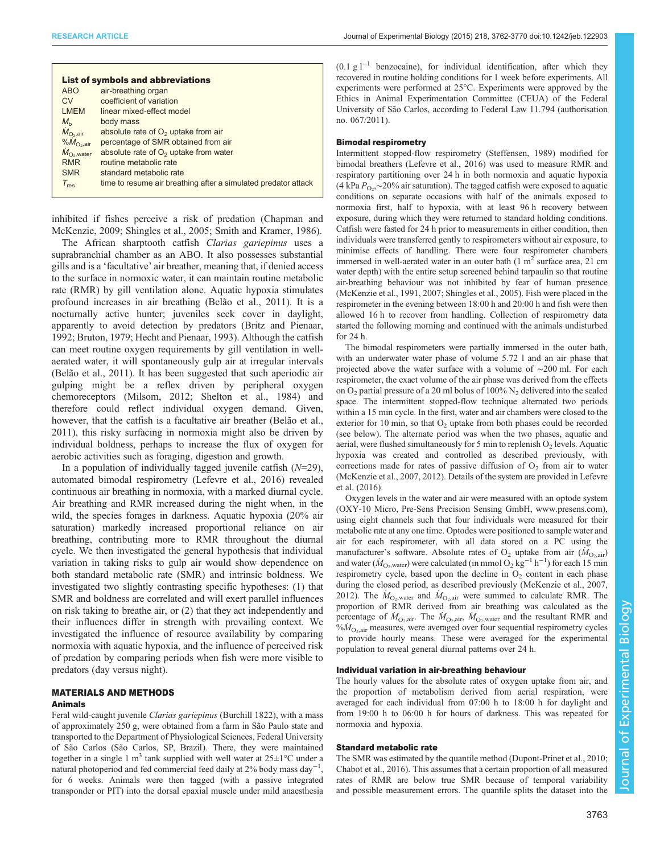|                            | <b>List of symbols and abbreviations</b>                       |
|----------------------------|----------------------------------------------------------------|
| <b>ABO</b>                 | air-breathing organ                                            |
| CV                         | coefficient of variation                                       |
| <b>LMEM</b>                | linear mixed-effect model                                      |
| $M_{h}$                    | body mass                                                      |
| $\dot{M}_\mathrm{O_2,air}$ | absolute rate of $O2$ uptake from air                          |
| $%M_{O2air}$               | percentage of SMR obtained from air                            |
| $\dot{M}_{\rm O2, water}$  | absolute rate of $O2$ uptake from water                        |
| <b>RMR</b>                 | routine metabolic rate                                         |
| <b>SMR</b>                 | standard metabolic rate                                        |
| $T_{res}$                  | time to resume air breathing after a simulated predator attack |

inhibited if fishes perceive a risk of predation ([Chapman and](#page-8-0) [McKenzie, 2009](#page-8-0); [Shingles et al., 2005](#page-9-0); [Smith and Kramer, 1986\)](#page-9-0).

The African sharptooth catfish Clarias gariepinus uses a suprabranchial chamber as an ABO. It also possesses substantial gills and is a 'facultative' air breather, meaning that, if denied access to the surface in normoxic water, it can maintain routine metabolic rate (RMR) by gill ventilation alone. Aquatic hypoxia stimulates profound increases in air breathing [\(Belão et al., 2011\)](#page-8-0). It is a nocturnally active hunter; juveniles seek cover in daylight, apparently to avoid detection by predators [\(Britz and Pienaar,](#page-8-0) [1992](#page-8-0); [Bruton, 1979; Hecht and Pienaar, 1993\)](#page-8-0). Although the catfish can meet routine oxygen requirements by gill ventilation in wellaerated water, it will spontaneously gulp air at irregular intervals [\(Belão et al., 2011\)](#page-8-0). It has been suggested that such aperiodic air gulping might be a reflex driven by peripheral oxygen chemoreceptors [\(Milsom, 2012](#page-8-0); [Shelton et al., 1984\)](#page-9-0) and therefore could reflect individual oxygen demand. Given, however, that the catfish is a facultative air breather [\(Belão et al.,](#page-8-0) [2011](#page-8-0)), this risky surfacing in normoxia might also be driven by individual boldness, perhaps to increase the flux of oxygen for aerobic activities such as foraging, digestion and growth.

In a population of individually tagged juvenile catfish  $(N=29)$ , automated bimodal respirometry ([Lefevre et al., 2016](#page-8-0)) revealed continuous air breathing in normoxia, with a marked diurnal cycle. Air breathing and RMR increased during the night when, in the wild, the species forages in darkness. Aquatic hypoxia (20% air saturation) markedly increased proportional reliance on air breathing, contributing more to RMR throughout the diurnal cycle. We then investigated the general hypothesis that individual variation in taking risks to gulp air would show dependence on both standard metabolic rate (SMR) and intrinsic boldness. We investigated two slightly contrasting specific hypotheses: (1) that SMR and boldness are correlated and will exert parallel influences on risk taking to breathe air, or (2) that they act independently and their influences differ in strength with prevailing context. We investigated the influence of resource availability by comparing normoxia with aquatic hypoxia, and the influence of perceived risk of predation by comparing periods when fish were more visible to predators (day versus night).

# MATERIALS AND METHODS

## Animals

Feral wild-caught juvenile Clarias gariepinus (Burchill 1822), with a mass of approximately 250 g, were obtained from a farm in São Paulo state and transported to the Department of Physiological Sciences, Federal University of São Carlos (São Carlos, SP, Brazil). There, they were maintained together in a single 1 m<sup>3</sup> tank supplied with well water at  $25\pm1$ °C under a natural photoperiod and fed commercial feed daily at 2% body mass day<sup>-1</sup> , for 6 weeks. Animals were then tagged (with a passive integrated transponder or PIT) into the dorsal epaxial muscle under mild anaesthesia

 $(0.1 \text{ g }$ <sup>1-1</sup> benzocaine), for individual identification, after which they recovered in routine holding conditions for 1 week before experiments. All experiments were performed at 25°C. Experiments were approved by the Ethics in Animal Experimentation Committee (CEUA) of the Federal University of São Carlos, according to Federal Law 11.794 (authorisation no. 067/2011).

#### Bimodal respirometry

Intermittent stopped-flow respirometry ([Steffensen, 1989\)](#page-9-0) modified for bimodal breathers [\(Lefevre et al., 2016](#page-8-0)) was used to measure RMR and respiratory partitioning over 24 h in both normoxia and aquatic hypoxia (4 kPa  $P_{Q_2}$ ,∼20% air saturation). The tagged catfish were exposed to aquatic conditions, on separate occasions, with half of the animals exposed to conditions on separate occasions with half of the animals exposed to normoxia first, half to hypoxia, with at least 96 h recovery between exposure, during which they were returned to standard holding conditions. Catfish were fasted for 24 h prior to measurements in either condition, then individuals were transferred gently to respirometers without air exposure, to minimise effects of handling. There were four respirometer chambers immersed in well-aerated water in an outer bath  $(1 \text{ m}^2 \text{ surface area}, 21 \text{ cm})$ water depth) with the entire setup screened behind tarpaulin so that routine air-breathing behaviour was not inhibited by fear of human presence ([McKenzie et al., 1991](#page-8-0), [2007](#page-8-0); [Shingles et al., 2005](#page-9-0)). Fish were placed in the respirometer in the evening between 18:00 h and 20:00 h and fish were then allowed 16 h to recover from handling. Collection of respirometry data started the following morning and continued with the animals undisturbed for 24 h.

The bimodal respirometers were partially immersed in the outer bath, with an underwater water phase of volume 5.72 l and an air phase that projected above the water surface with a volume of ∼200 ml. For each respirometer, the exact volume of the air phase was derived from the effects on  $O_2$  partial pressure of a 20 ml bolus of 100%  $N_2$  delivered into the sealed space. The intermittent stopped-flow technique alternated two periods within a 15 min cycle. In the first, water and air chambers were closed to the exterior for 10 min, so that  $O<sub>2</sub>$  uptake from both phases could be recorded (see below). The alternate period was when the two phases, aquatic and aerial, were flushed simultaneously for 5 min to replenish  $O_2$  levels. Aquatic hypoxia was created and controlled as described previously, with corrections made for rates of passive diffusion of  $O<sub>2</sub>$  from air to water ([McKenzie et al., 2007](#page-8-0), [2012](#page-8-0)). Details of the system are provided in [Lefevre](#page-8-0) [et al. \(2016\)](#page-8-0).

Oxygen levels in the water and air were measured with an optode system (OXY-10 Micro, Pre-Sens Precision Sensing GmbH, [www.presens.com](http://www.presens.com)), using eight channels such that four individuals were measured for their metabolic rate at any one time. Optodes were positioned to sample water and air for each respirometer, with all data stored on a PC using the manufacturer's software. Absolute rates of  $O_2$  uptake from air  $(M_{O_2,air})$ <br>and water  $(M_{\odot})$  were calculated (in mmol  $O_2$  kg<sup>-1</sup> h<sup>-1</sup>) for each 15 min and water ( $\dot{M}_{\text{O}_2,\text{water}}$ ) were calculated (in mmol  $\text{O}_2$  kg<sup>-1</sup> h<sup>-1</sup>) for each 15 min<br>respirametry cycle, based upon the decline in O<sub>2</sub> content in each phase respirometry cycle, based upon the decline in  $O<sub>2</sub>$  content in each phase during the closed period, as described previously ([McKenzie et al., 2007,](#page-8-0) [2012\)](#page-8-0). The  $\dot{M}_{\text{O}_2,\text{water}}$  and  $\dot{M}_{\text{O}_2,\text{air}}$  were summed to calculate RMR. The proportion of RMR derived from air breathing was calculated as the proportion of RMR derived from air breathing was calculated as the percentage of  $\dot{M}_{\text{O}_2}$  air. The  $\dot{M}_{\text{O}_2}$  air,  $\dot{M}_{\text{O}_2}$  water and the resultant RMR and  $\dot{M}_{\text{O}_2}$  measures were averaged over four sequential respirametry cycles  $\frac{\partial M_{\text{O}_2,air}}{\partial M_{\text{O}_2,air}}$  measures, were averaged over four sequential respirometry cycles to provide hourly means. These were averaged for the experimental population to reveal general diurnal patterns over 24 h.

#### Individual variation in air-breathing behaviour

The hourly values for the absolute rates of oxygen uptake from air, and the proportion of metabolism derived from aerial respiration, were averaged for each individual from 07:00 h to 18:00 h for daylight and from 19:00 h to 06:00 h for hours of darkness. This was repeated for normoxia and hypoxia.

## Standard metabolic rate

The SMR was estimated by the quantile method [\(Dupont-Prinet et al., 2010;](#page-8-0) [Chabot et al., 2016\)](#page-8-0). This assumes that a certain proportion of all measured rates of RMR are below true SMR because of temporal variability and possible measurement errors. The quantile splits the dataset into the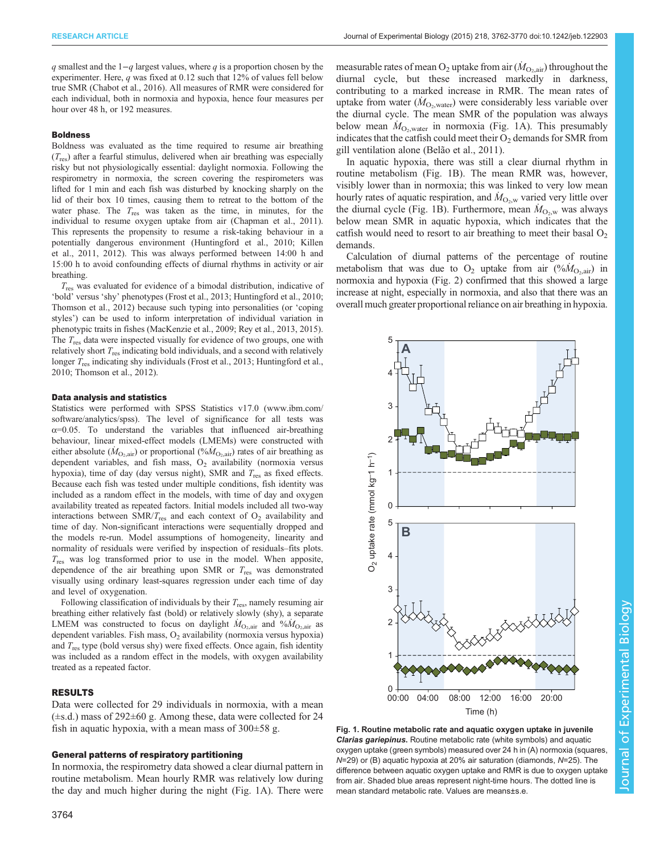q smallest and the  $1-q$  largest values, where q is a proportion chosen by the experimenter. Here, q was fixed at 0.12 such that 12% of values fell below true SMR [\(Chabot et al., 2016](#page-8-0)). All measures of RMR were considered for each individual, both in normoxia and hypoxia, hence four measures per hour over 48 h, or 192 measures.

#### Boldness

Boldness was evaluated as the time required to resume air breathing  $(T_{res})$  after a fearful stimulus, delivered when air breathing was especially risky but not physiologically essential: daylight normoxia. Following the respirometry in normoxia, the screen covering the respirometers was lifted for 1 min and each fish was disturbed by knocking sharply on the lid of their box 10 times, causing them to retreat to the bottom of the water phase. The  $T_{res}$  was taken as the time, in minutes, for the individual to resume oxygen uptake from air ([Chapman et al., 2011](#page-8-0)). This represents the propensity to resume a risk-taking behaviour in a potentially dangerous environment [\(Huntingford et al., 2010](#page-8-0); [Killen](#page-8-0) [et al., 2011, 2012\)](#page-8-0). This was always performed between 14:00 h and 15:00 h to avoid confounding effects of diurnal rhythms in activity or air breathing.

 $T_{\text{res}}$  was evaluated for evidence of a bimodal distribution, indicative of 'bold' versus 'shy' phenotypes [\(Frost et al., 2013](#page-8-0); [Huntingford et al., 2010;](#page-8-0) [Thomson et al., 2012](#page-9-0)) because such typing into personalities (or 'coping styles') can be used to inform interpretation of individual variation in phenotypic traits in fishes [\(MacKenzie et al., 2009](#page-8-0); [Rey et al., 2013, 2015](#page-9-0)). The  $T_{res}$  data were inspected visually for evidence of two groups, one with relatively short  $T_{\text{res}}$  indicating bold individuals, and a second with relatively longer  $T_{res}$  indicating shy individuals [\(Frost et al., 2013](#page-8-0); [Huntingford et al.,](#page-8-0) [2010](#page-8-0); [Thomson et al., 2012](#page-9-0)).

#### Data analysis and statistics

Statistics were performed with SPSS Statistics v17.0 ([www.ibm.com/](http://www.ibm.com/software/analytics/spss) [software/analytics/spss\)](http://www.ibm.com/software/analytics/spss). The level of significance for all tests was  $\alpha$ =0.05. To understand the variables that influenced air-breathing behaviour, linear mixed-effect models (LMEMs) were constructed with either absolute  $(M_{\text{O}_2,air})$  or proportional  $(\%M_{\text{O}_2,air})$  rates of air breathing as dependent variables, and fish mass,  $O_2$  availability (normoxia versus hypoxia), time of day (day versus night), SMR and  $T_{res}$  as fixed effects. Because each fish was tested under multiple conditions, fish identity was included as a random effect in the models, with time of day and oxygen availability treated as repeated factors. Initial models included all two-way interactions between  $SMR/T_{res}$  and each context of  $O<sub>2</sub>$  availability and time of day. Non-significant interactions were sequentially dropped and the models re-run. Model assumptions of homogeneity, linearity and normality of residuals were verified by inspection of residuals–fits plots.  $T_{res}$  was log transformed prior to use in the model. When apposite, dependence of the air breathing upon SMR or  $T_{res}$  was demonstrated visually using ordinary least-squares regression under each time of day and level of oxygenation.

Following classification of individuals by their  $T_{res}$ , namely resuming air breathing either relatively fast (bold) or relatively slowly (shy), a separate LMEM was constructed to focus on daylight  $\dot{M}_{\text{O}_2,air}$  and  $\% \dot{M}_{\text{O}_2,air}$  as dependent variables. Fish mass  $\Omega$ , availability (normovia versus hypoxia) dependent variables. Fish mass,  $O_2$  availability (normoxia versus hypoxia) and  $T_{\text{res}}$  type (bold versus shy) were fixed effects. Once again, fish identity was included as a random effect in the models, with oxygen availability treated as a repeated factor.

#### RESULTS

Data were collected for 29 individuals in normoxia, with a mean  $(\pm s.d.)$  mass of 292 $\pm 60$  g. Among these, data were collected for 24 fish in aquatic hypoxia, with a mean mass of  $300\pm58$  g.

#### General patterns of respiratory partitioning

In normoxia, the respirometry data showed a clear diurnal pattern in routine metabolism. Mean hourly RMR was relatively low during the day and much higher during the night (Fig. 1A). There were

measurable rates of mean  $O_2$  uptake from air  $(M_{O_2,air})$  throughout the diurnal evole but these increased markedly in darkness diurnal cycle, but these increased markedly in darkness, contributing to a marked increase in RMR. The mean rates of uptake from water  $(M_{O_2,\text{water}})$  were considerably less variable over<br>the diurnal cycle. The mean SMR of the nopulation was always the diurnal cycle. The mean SMR of the population was always below mean  $\dot{M}_{\text{O}_2, \text{water}}$  in normoxia (Fig. 1A). This presumably indicates that the catfish could meet their  $\Omega_2$  demands for SMR from indicates that the catfish could meet their  $O_2$  demands for SMR from gill ventilation alone ([Belão et al., 2011](#page-8-0)).

In aquatic hypoxia, there was still a clear diurnal rhythm in routine metabolism (Fig. 1B). The mean RMR was, however, visibly lower than in normoxia; this was linked to very low mean hourly rates of aquatic respiration, and  $\dot{M}_{\text{O}_2,w}$  varied very little over<br>the diurnal cycle (Fig. 1B). Furthermore, mean  $\dot{M}_{\odot}$  was always the diurnal cycle (Fig. 1B). Furthermore, mean  $\dot{M}_{\text{O}_2,\text{w}}$  was always<br>below mean SMR in aquatic hypoxia, which indicates that the below mean SMR in aquatic hypoxia, which indicates that the catfish would need to resort to air breathing to meet their basal  $O<sub>2</sub>$ demands.

Calculation of diurnal patterns of the percentage of routine metabolism that was due to  $O_2$  uptake from air  $(\%M_{O_2,air})$  in<br>normovia and hypovia (Fig. 2) confirmed that this showed a large normoxia and hypoxia ([Fig. 2](#page-4-0)) confirmed that this showed a large increase at night, especially in normoxia, and also that there was an overall much greater proportional reliance on air breathing in hypoxia.



Fig. 1. Routine metabolic rate and aquatic oxygen uptake in juvenile Clarias gariepinus. Routine metabolic rate (white symbols) and aquatic oxygen uptake (green symbols) measured over 24 h in (A) normoxia (squares, N=29) or (B) aquatic hypoxia at 20% air saturation (diamonds, N=25). The difference between aquatic oxygen uptake and RMR is due to oxygen uptake from air. Shaded blue areas represent night-time hours. The dotted line is mean standard metabolic rate. Values are means±s.e.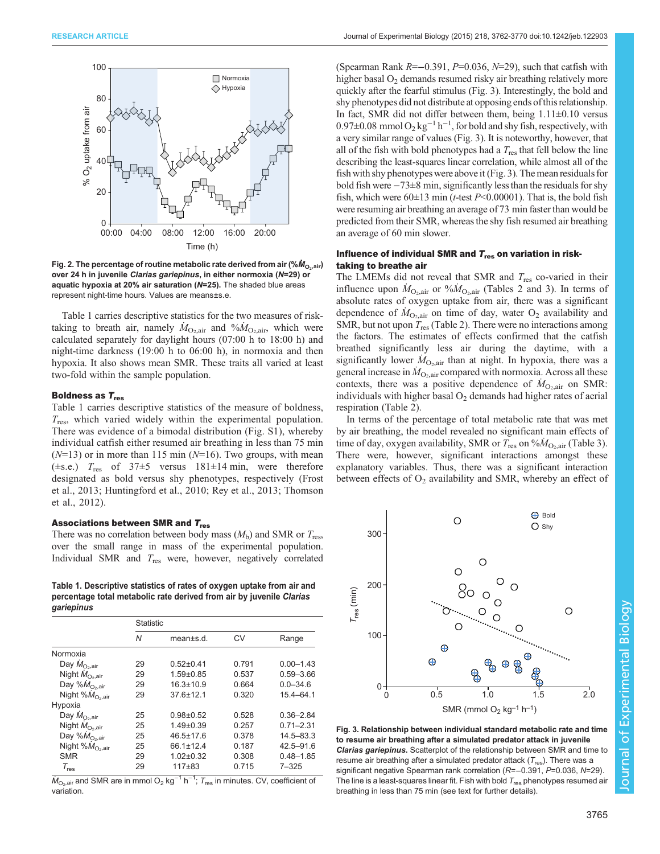<span id="page-4-0"></span>

Fig. 2. The percentage of routine metabolic rate derived from air (% $\dot{M}_{\rm O_2,air}$ ) over 24 h in juvenile Clarias gariepinus, in either normoxia (N=29) or aquatic hypoxia at 20% air saturation (N=25). The shaded blue areas represent night-time hours. Values are means±s.e.

Table 1 carries descriptive statistics for the two measures of risktaking to breath air, namely  $\dot{M}_{\text{O}_2,air}$  and  $\% \dot{M}_{\text{O}_2,air}$ , which were<br>calculated separately for daylight hours (07:00 h to 18:00 h) and calculated separately for daylight hours (07:00 h to 18:00 h) and night-time darkness (19:00 h to 06:00 h), in normoxia and then hypoxia. It also shows mean SMR. These traits all varied at least two-fold within the sample population.

#### Boldness as  $T_{res}$

Table 1 carries descriptive statistics of the measure of boldness,  $T_{\text{res}}$ , which varied widely within the experimental population. There was evidence of a bimodal distribution [\(Fig. S1\)](http://jeb.biologists.org/lookup/suppl/doi:10.1242/jeb.122903/-/DC1), whereby individual catfish either resumed air breathing in less than 75 min  $(N=13)$  or in more than 115 min  $(N=16)$ . Two groups, with mean ( $\pm$ s.e.)  $T_{res}$  of 37 $\pm$ 5 versus 181 $\pm$ 14 min, were therefore designated as bold versus shy phenotypes, respectively ([Frost](#page-8-0) [et al., 2013; Huntingford et al., 2010](#page-8-0); [Rey et al., 2013](#page-9-0); [Thomson](#page-9-0) [et al., 2012\)](#page-9-0).

#### Associations between SMR and  $T_{res}$

There was no correlation between body mass  $(M_b)$  and SMR or  $T_{res}$ , over the small range in mass of the experimental population. Individual SMR and  $T_{res}$  were, however, negatively correlated

Table 1. Descriptive statistics of rates of oxygen uptake from air and percentage total metabolic rate derived from air by juvenile Clarias gariepinus

|                                   | <b>Statistic</b> |                 |       |               |
|-----------------------------------|------------------|-----------------|-------|---------------|
|                                   | N                | mean±s.d.       | CV    | Range         |
| Normoxia                          |                  |                 |       |               |
| Day $\dot{M}_{\text{O}_2,air}$    | 29               | $0.52 + 0.41$   | 0.791 | $0.00 - 1.43$ |
| Night $M_{O_2,air}$               | 29               | $1.59 + 0.85$   | 0.537 | $0.59 - 3.66$ |
| Day % $\dot{M}_{\rm O2,air}$      | 29               | $16.3 \pm 10.9$ | 0.664 | $0.0 - 34.6$  |
| Night % $\dot{M}_{\rm O_2, air}$  | 29               | $376+121$       | 0.320 | $15.4 - 64.1$ |
| Hypoxia                           |                  |                 |       |               |
| Day $\dot{M}_{\text{O}_2,air}$    | 25               | $0.98 + 0.52$   | 0.528 | $0.36 - 2.84$ |
| Night $\dot{M}_{\rm O_2, air}$    | 25               | $1.49 \pm 0.39$ | 0.257 | $0.71 - 2.31$ |
| Day % $M_{\text{O}_2\text{,air}}$ | 25               | $46.5 \pm 17.6$ | 0.378 | $14.5 - 83.3$ |
| Night % $\dot{M}_{\rm O_2,air}$   | 25               | 66.1±12.4       | 0.187 | $42.5 - 91.6$ |
| <b>SMR</b>                        | 29               | $1.02 \pm 0.32$ | 0.308 | $0.48 - 1.85$ |
| $\tau_{\textrm{\tiny{res}}}$      | 29               | $117 + 83$      | 0.715 | $7 - 325$     |

 $\dot{M}_\mathrm{O_2,air}$  and SMR are in mmol O $_2$  kg $^{-1}$  h $^{-1}$ ;  $\mathcal{T}_\mathrm{res}$  in minutes. CV, coefficient of variation.

(Spearman Rank  $R=-0.391$ ,  $P=0.036$ ,  $N=29$ ), such that catfish with higher basal  $O_2$  demands resumed risky air breathing relatively more quickly after the fearful stimulus (Fig. 3). Interestingly, the bold and shy phenotypes did not distribute at opposing ends of this relationship. In fact, SMR did not differ between them, being  $1.11 \pm 0.10$  versus 0.97±0.08 mmol  $O_2$  kg<sup>-1</sup> h<sup>-1</sup>, for bold and shy fish, respectively, with a very similar range of values (Fig. 3). It is noteworthy, however, that all of the fish with bold phenotypes had a  $T_{res}$  that fell below the line describing the least-squares linear correlation, while almost all of the fish with shy phenotypes were above it (Fig. 3). The mean residuals for bold fish were −73±8 min, significantly less than the residuals for shy fish, which were  $60\pm13$  min (*t*-test  $P<0.00001$ ). That is, the bold fish were resuming air breathing an average of 73 min faster than would be predicted from their SMR, whereas the shy fish resumed air breathing an average of 60 min slower.

# Influence of individual SMR and  $T_{\rm res}$  on variation in risktaking to breathe air

The LMEMs did not reveal that SMR and  $T_{res}$  co-varied in their influence upon  $\dot{M}_{\text{O}_2\text{air}}$  or  $\% \dot{M}_{\text{O}_2\text{air}}$  ([Tables 2](#page-5-0) and [3](#page-5-0)). In terms of absolute rates of oxygen untake from air, there was a significant absolute rates of oxygen uptake from air, there was a significant dependence of  $\dot{M}_{\text{O}_2,air}$  on time of day, water  $\text{O}_2$  availability and SMR but not upon  $\overline{T}$  (Table 2). There were no interactions among SMR, but not upon  $T_{res}$  [\(Table 2](#page-5-0)). There were no interactions among the factors. The estimates of effects confirmed that the catfish breathed significantly less air during the daytime, with a significantly lower  $\dot{M}_{\text{O}_2,air}$  than at night. In hypoxia, there was a general increase in  $\dot{M}_{\odot}$  compared with normovia. Across all these general increase in  $\dot{M}_{\text{O}_2,air}$  compared with normoxia. Across all these contexts there was a positive dependence of  $\dot{M}_{\text{O}_2}$  on SMR. contexts, there was a positive dependence of  $\dot{M}_{\text{O}_2,air}$  on SMR:<br>individuals with higher basal  $\Omega_2$  demands had higher rates of aerial individuals with higher basal  $O<sub>2</sub>$  demands had higher rates of aerial respiration [\(Table 2\)](#page-5-0).

In terms of the percentage of total metabolic rate that was met by air breathing, the model revealed no significant main effects of time of day, oxygen availability, SMR or  $T_{res}$  on  $\%M_{\text{O}_2,air}$  ([Table 3\)](#page-5-0).<br>There were however significant interactions amongst these There were, however, significant interactions amongst these explanatory variables. Thus, there was a significant interaction between effects of  $O_2$  availability and SMR, whereby an effect of



Fig. 3. Relationship between individual standard metabolic rate and time to resume air breathing after a simulated predator attack in juvenile *Clarias gariepinus***.** Scatterplot of the relationship between SMR and time to<br>resume air breathing after a simulated predator attack (T<sub>res</sub>). There was a significant negative Spearman rank correlation (R=-0.391, P=0.036, N=29). The line is a least-squares linear fit. Fish with bold  $T_{res}$  phenotypes resumed air breathing in less than 75 min (see text for further details).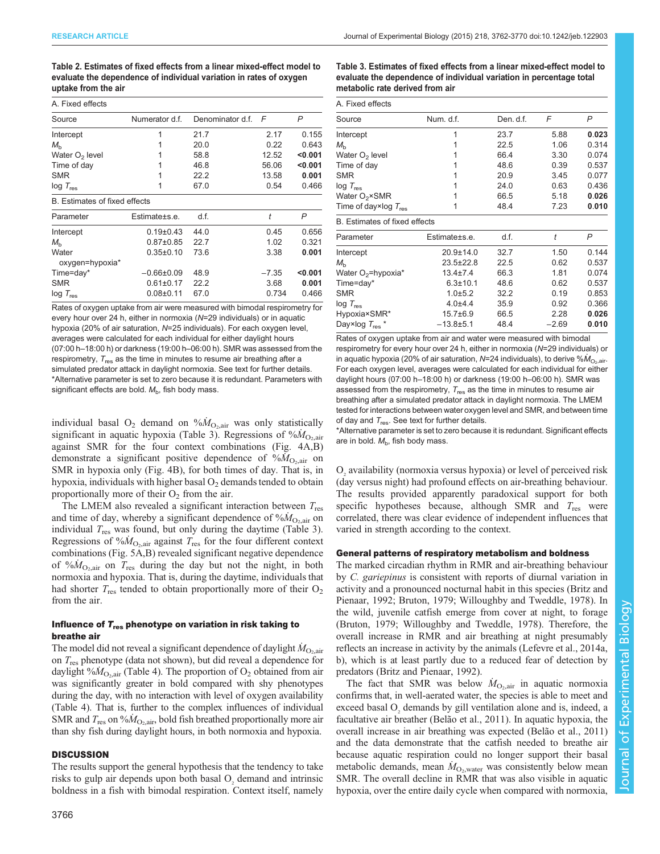<span id="page-5-0"></span>Table 2. Estimates of fixed effects from a linear mixed-effect model to evaluate the dependence of individual variation in rates of oxygen uptake from the air

| A. Fixed effects              |                  |                  |         |         |
|-------------------------------|------------------|------------------|---------|---------|
| Source                        | Numerator d.f.   | Denominator d.f. | F       | P       |
| Intercept                     |                  | 21.7             | 2.17    | 0.155   |
| $M_{\rm b}$                   |                  | 20.0             | 0.22    | 0.643   |
| Water $O2$ level              |                  | 58.8             | 12.52   | < 0.001 |
| Time of day                   |                  | 46.8             | 56.06   | < 0.001 |
| <b>SMR</b>                    |                  | 22.2             | 13.58   | 0.001   |
| $log T_{res}$                 |                  | 67.0             | 0.54    | 0.466   |
| B. Estimates of fixed effects |                  |                  |         |         |
| Parameter                     | Estimate±s.e.    | d.f.             | t       | P       |
| Intercept                     | $0.19+0.43$      | 44.0             | 0.45    | 0.656   |
| $M_h$                         | $0.87 \pm 0.85$  | 22.7             | 1.02    | 0.321   |
| Water<br>oxygen=hypoxia*      | $0.35 \pm 0.10$  | 73.6             | 3.38    | 0.001   |
| Time=day*                     | $-0.66 \pm 0.09$ | 48.9             | $-7.35$ | < 0.001 |

 $log T_{res}$  0.08±0.11 67.0 0.734 0.466 Rates of oxygen uptake from air were measured with bimodal respirometry for every hour over 24 h, either in normoxia (N=29 individuals) or in aquatic hypoxia (20% of air saturation, N=25 individuals). For each oxygen level, averages were calculated for each individual for either daylight hours (07:00 h–18:00 h) or darkness (19:00 h–06:00 h). SMR was assessed from the respirometry,  $T_{res}$  as the time in minutes to resume air breathing after a simulated predator attack in daylight normoxia. See text for further details \*Alternative parameter is set to zero because it is redundant. Parameters with significant effects are bold.  $M_{\rm b}$ , fish body mass.

SMR 0.61±0.17 22.2 3.68 0.001

individual basal  $O_2$  demand on  $\sqrt[6]{M_{O_2,air}}$  was only statistically significant in aquatic hypoxia (Table 3). Regressions of  $\frac{6}{M_{O_2}}$ . significant in aquatic hypoxia (Table 3). Regressions of  $\%M_{\text{O}_2,air}$ <br>against SMR for the four context combinations (Fig. 4A B) against SMR for the four context combinations ([Fig. 4](#page-6-0)A,B) demonstrate a significant positive dependence of  $\sqrt[6]{M_{\text{O}_2,air}}$  on SMR in hypoxia only (Fig. 4R) for both times of day. That is in SMR in hypoxia only ([Fig. 4](#page-6-0)B), for both times of day. That is, in hypoxia, individuals with higher basal  $O<sub>2</sub>$  demands tended to obtain proportionally more of their  $O_2$  from the air.

The LMEM also revealed a significant interaction between  $T_{res}$ and time of day, whereby a significant dependence of  $\sqrt[6]{M_{\text{O}_2,air}}$  on individual T was found but only during the daytime (Table 3) individual  $T_{res}$  was found, but only during the daytime (Table 3). Regressions of  $\%M_{\text{O}_2\text{air}}$  against  $T_{\text{res}}$  for the four different context<br>combinations (Fig. 5.A, B) revealed significant negative dependence combinations ([Fig. 5A](#page-6-0),B) revealed significant negative dependence of  $\%M_{\text{O}_2,air}$  on  $T_{\text{res}}$  during the day but not the night, in both normoxia and hypoxia. That is during the day time individuals that normoxia and hypoxia. That is, during the daytime, individuals that had shorter  $T_{res}$  tended to obtain proportionally more of their  $O_2$ from the air.

## Influence of  $T_{res}$  phenotype on variation in risk taking to breathe air

The model did not reveal a significant dependence of daylight  $\dot{M}_{\text{O}_2,air}$ <br>on T phenotype (data not shown) but did reveal a dependence for on  $T_{res}$  phenotype (data not shown), but did reveal a dependence for daylight % $\dot{M}_{\text{O}_2\text{air}}$  ([Table 4](#page-7-0)). The proportion of  $\text{O}_2$  obtained from air was significantly greater in hold compared with shy phenotypes was significantly greater in bold compared with shy phenotypes during the day, with no interaction with level of oxygen availability [\(Table 4](#page-7-0)). That is, further to the complex influences of individual SMR and  $T_{res}$  on  $\frac{\partial M_{\text{O}_2,air}}{\partial M}$ , bold fish breathed proportionally more air than shy fish during daylight hours in both normoxia and hypoxia than shy fish during daylight hours, in both normoxia and hypoxia.

## **DISCUSSION**

The results support the general hypothesis that the tendency to take risks to gulp air depends upon both basal O<sub>2</sub> demand and intrinsic boldness in a fish with bimodal respiration. Context itself, namely Table 3. Estimates of fixed effects from a linear mixed-effect model to evaluate the dependence of individual variation in percentage total metabolic rate derived from air

| A. Fixed effects                     |                |           |         |       |
|--------------------------------------|----------------|-----------|---------|-------|
| Source                               | Num. d.f.      | Den. d.f. | F       | P     |
| Intercept                            | 1              | 23.7      | 5.88    | 0.023 |
| $M_h$                                | 1              | 22.5      | 1.06    | 0.314 |
| Water $O2$ level                     |                | 66.4      | 3.30    | 0.074 |
| Time of day                          |                | 48.6      | 0.39    | 0.537 |
| <b>SMR</b>                           | 1              | 20.9      | 3.45    | 0.077 |
| $log T_{res}$                        | 1              | 24.0      | 0.63    | 0.436 |
| Water $O_2 \times$ SMR               |                | 66.5      | 5.18    | 0.026 |
| Time of day×log $T_{res}$            | 1              | 48.4      | 7.23    | 0.010 |
| <b>B.</b> Estimates of fixed effects |                |           |         |       |
| Parameter                            | Estimate±s.e.  | d.f.      | t       | P     |
| Intercept                            | 20.9±14.0      | 32.7      | 1.50    | 0.144 |
| $M_h$                                | 23.5±22.8      | 22.5      | 0.62    | 0.537 |
| Water $O_2$ =hypoxia*                | $13.4 + 7.4$   | 66.3      | 1.81    | 0.074 |
| Time=day*                            | $6.3 \pm 10.1$ | 48.6      | 0.62    | 0.537 |
| <b>SMR</b>                           | $1.0 + 5.2$    | 32.2      | 0.19    | 0.853 |
| $log T_{res}$                        | $4.0 + 4.4$    | 35.9      | 0.92    | 0.366 |
| Hypoxia×SMR*                         | $15.7 \pm 6.9$ | 66.5      | 2.28    | 0.026 |
| Day×log $T_{res}$ *                  | $-13.8 + 5.1$  | 48.4      | $-2.69$ | 0.010 |

Rates of oxygen uptake from air and water were measured with bimodal respirometry for every hour over 24 h, either in normoxia (N=29 individuals) or in aquatic hypoxia (20% of air saturation, N=24 individuals), to derive  $% \dot{M}_{\odot}$  air. For each oxygen level, averages were calculated for each individual for either daylight hours (07:00 h–18:00 h) or darkness (19:00 h–06:00 h). SMR was assessed from the respirometry,  $T_{res}$  as the time in minutes to resume air breathing after a simulated predator attack in daylight normoxia. The LMEM tested for interactions between water oxygen level and SMR, and between time of day and  $T_{res}$ . See text for further details.

\*Alternative parameter is set to zero because it is redundant. Significant effects are in bold.  $M<sub>b</sub>$ , fish body mass.

O2 availability (normoxia versus hypoxia) or level of perceived risk (day versus night) had profound effects on air-breathing behaviour. The results provided apparently paradoxical support for both specific hypotheses because, although SMR and  $T_{res}$  were correlated, there was clear evidence of independent influences that varied in strength according to the context.

## General patterns of respiratory metabolism and boldness

The marked circadian rhythm in RMR and air-breathing behaviour by C. gariepinus is consistent with reports of diurnal variation in activity and a pronounced nocturnal habit in this species [\(Britz and](#page-8-0) [Pienaar, 1992; Bruton, 1979;](#page-8-0) [Willoughby and Tweddle, 1978\)](#page-9-0). In the wild, juvenile catfish emerge from cover at night, to forage [\(Bruton, 1979](#page-8-0); [Willoughby and Tweddle, 1978](#page-9-0)). Therefore, the overall increase in RMR and air breathing at night presumably reflects an increase in activity by the animals ([Lefevre et al., 2014a,](#page-8-0) [b\)](#page-8-0), which is at least partly due to a reduced fear of detection by predators [\(Britz and Pienaar, 1992](#page-8-0)).

The fact that SMR was below  $\dot{M}_{\text{O}_2,air}$  in aquatic normoxia<br>of times that in well-aerated water the species is able to meet and confirms that, in well-aerated water, the species is able to meet and exceed basal O<sub>2</sub> demands by gill ventilation alone and is, indeed, a facultative air breather ([Belão et al., 2011\)](#page-8-0). In aquatic hypoxia, the overall increase in air breathing was expected [\(Belão et al., 2011\)](#page-8-0) and the data demonstrate that the catfish needed to breathe air because aquatic respiration could no longer support their basal metabolic demands, mean  $\dot{M}_{\text{O}_2$ , water was consistently below mean SMR. The overall decline in RMR that was also visible in aquatic SMR. The overall decline in RMR that was also visible in aquatic hypoxia, over the entire daily cycle when compared with normoxia,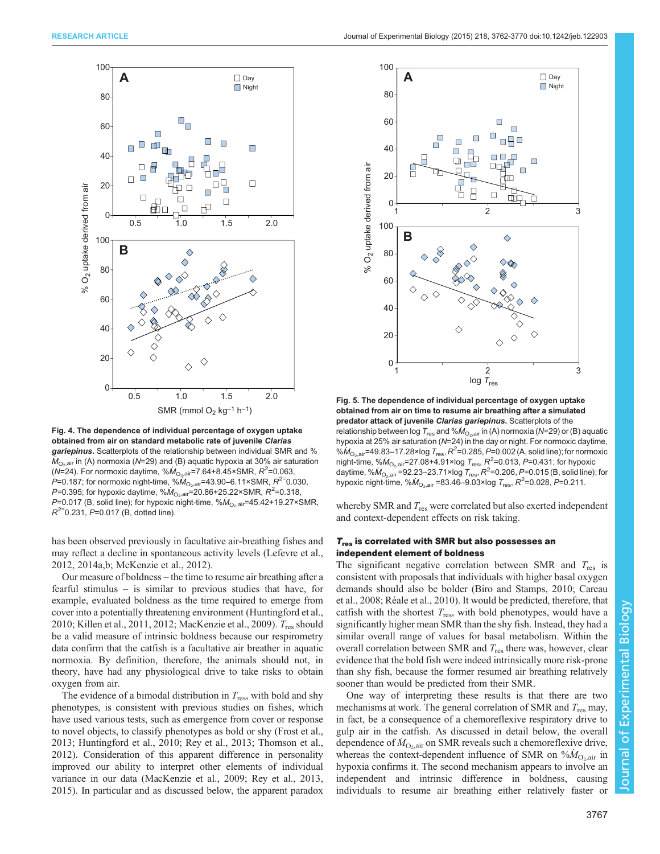<span id="page-6-0"></span>

Fig. 4. The dependence of individual percentage of oxygen uptake obtained from air on standard metabolic rate of juvenile Clarias gariepinus. Scatterplots of the relationship between individual SMR and %  $\dot{M}_{\text{O}_2\text{air}}$  in (A) normoxia (N=29) and (B) aquatic hypoxia at 30% air saturation (N=24). For normoxic daytime, % $\dot{M}_{\rm O_2, air}$ =7.64+8.45×SMR,  $R^2$ =0.063, P=0.187; for normoxic night-time, % $\hat{M}_{\text{O}_2\text{.air}}$ =43.90–6.11×SMR,  $R^{2}$ =0.030, P=0.395; for hypoxic daytime, % $\dot{M}_{\rm O_2, air} = 20.86 + 25.22 \times \text{SMR}, R^2 = 0.318,$ P=0.017 (B, solid line); for hypoxic night-time,  $%M_{\odot,air}$ =45.42+19.27×SMR,  $R^{2}=0.231$ , P=0.017 (B, dotted line).

has been observed previously in facultative air-breathing fishes and may reflect a decline in spontaneous activity levels [\(Lefevre et al.,](#page-8-0) [2012](#page-8-0), [2014a](#page-8-0),[b](#page-8-0); [McKenzie et al., 2012](#page-8-0)).

Our measure of boldness – the time to resume air breathing after a fearful stimulus – is similar to previous studies that have, for example, evaluated boldness as the time required to emerge from cover into a potentially threatening environment [\(Huntingford et al.,](#page-8-0) [2010](#page-8-0); [Killen et al., 2011](#page-8-0), [2012](#page-8-0); [MacKenzie et al., 2009](#page-8-0)). T<sub>res</sub> should be a valid measure of intrinsic boldness because our respirometry data confirm that the catfish is a facultative air breather in aquatic normoxia. By definition, therefore, the animals should not, in theory, have had any physiological drive to take risks to obtain oxygen from air.

The evidence of a bimodal distribution in  $T_{res}$ , with bold and shy phenotypes, is consistent with previous studies on fishes, which have used various tests, such as emergence from cover or response to novel objects, to classify phenotypes as bold or shy ([Frost et al.,](#page-8-0) [2013](#page-8-0); [Huntingford et al., 2010](#page-8-0); [Rey et al., 2013; Thomson et al.,](#page-9-0) [2012](#page-9-0)). Consideration of this apparent difference in personality improved our ability to interpret other elements of individual variance in our data [\(MacKenzie et al., 2009;](#page-8-0) [Rey et al., 2013,](#page-9-0) [2015](#page-9-0)). In particular and as discussed below, the apparent paradox



Fig. 5. The dependence of individual percentage of oxygen uptake obtained from air on time to resume air breathing after a simulated predator attack of juvenile Clarias gariepinus. Scatterplots of the relationship between log  $T_{res}$  and % $\dot{M}_{O_2,air}$  in (A) normoxia (N=29) or (B) aquatic hypoxia at 25% air saturation (N=24) in the day or night. For normoxic daytime, % $\dot{M}_{\rm O_2, air}$ =49.83–17.28×log  $T_{\rm res}$ ,  $R^2$ =0.285, P=0.002 (A, solid line); for normoxic night-time, % $M_{\rm O_2, air}$ =27.08+4.91×log  $T_{\rm res}$ ,  $R^2$ =0.013, P=0.431; for hypoxic daytime, % $\dot{M}_{\rm O_2, air}$ =92.23–23.71×log  $T_{\rm res}$ ,  $R^2$ =0.206, P=0.015 (B, solid line); for hypoxic night-time,  $\% \dot{M}_{\rm O_2, air}$  =83.46–9.03×log  $T_{\rm res}$ ,  $R^2$ =0.028, P=0.211.

whereby SMR and  $T_{res}$  were correlated but also exerted independent and context-dependent effects on risk taking.

## $T_{res}$  is correlated with SMR but also possesses an independent element of boldness

The significant negative correlation between SMR and  $T_{res}$  is consistent with proposals that individuals with higher basal oxygen demands should also be bolder ([Biro and Stamps, 2010](#page-8-0); [Careau](#page-8-0) [et al., 2008](#page-8-0); [Réale et al., 2010\)](#page-9-0). It would be predicted, therefore, that catfish with the shortest  $T_{res}$ , with bold phenotypes, would have a significantly higher mean SMR than the shy fish. Instead, they had a similar overall range of values for basal metabolism. Within the overall correlation between SMR and  $T_{res}$  there was, however, clear evidence that the bold fish were indeed intrinsically more risk-prone than shy fish, because the former resumed air breathing relatively sooner than would be predicted from their SMR.

One way of interpreting these results is that there are two mechanisms at work. The general correlation of SMR and  $T_{res}$  may, in fact, be a consequence of a chemoreflexive respiratory drive to gulp air in the catfish. As discussed in detail below, the overall dependence of  $\dot{M}_{\text{O}_2,air}$  on SMR reveals such a chemoreflexive drive,<br>whereas the context-dependent influence of SMR on % $\dot{M}_{\odot}$  in whereas the context-dependent influence of SMR on  $\%M_{\text{O}_2,\text{air}}$  in<br>hypoxia confirms it. The second mechanism appears to involve an hypoxia confirms it. The second mechanism appears to involve an independent and intrinsic difference in boldness, causing individuals to resume air breathing either relatively faster or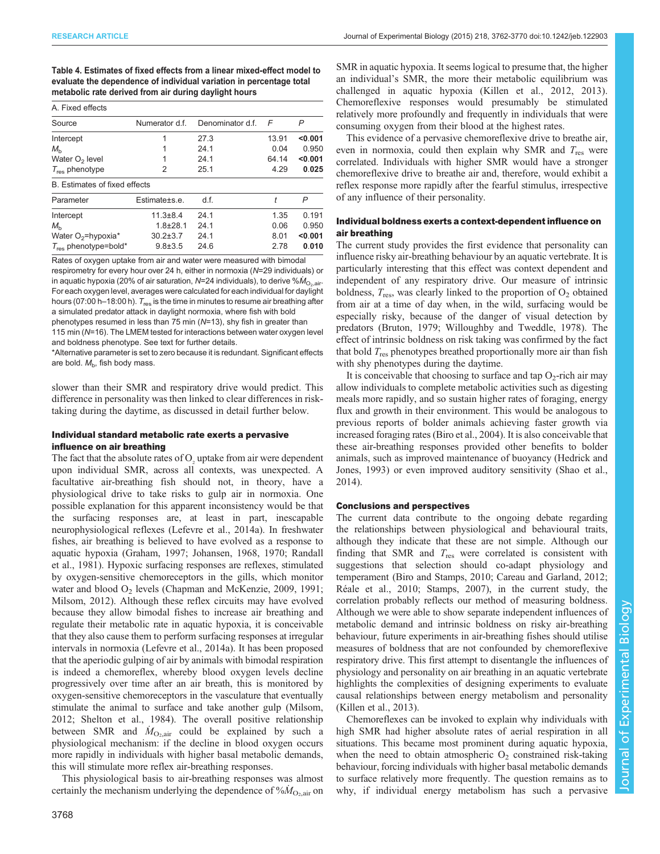<span id="page-7-0"></span>Table 4. Estimates of fixed effects from a linear mixed-effect model to evaluate the dependence of individual variation in percentage total metabolic rate derived from air during daylight hours

| A. Fixed effects                 |                 |                  |            |         |
|----------------------------------|-----------------|------------------|------------|---------|
| Source                           | Numerator d.f.  | Denominator d.f. | $\sqrt{2}$ | P       |
| Intercept                        | 1               | 27.3             | 13.91      | < 0.001 |
| $M_{\rm b}$                      |                 | 24.1             | 0.04       | 0.950   |
| Water O <sub>2</sub> level       |                 | 24.1             | 64.14      | < 0.001 |
| $T_{res}$ phenotype              | 2               | 25.1             | 4.29       | 0.025   |
| B. Estimates of fixed effects    |                 |                  |            |         |
| Parameter                        | Estimate + s.e. | df.              | t          | P       |
| Intercept                        | $11.3 + 8.4$    | 24.1             | 1.35       | 0.191   |
| $M_{h}$                          | $1.8 + 28.1$    | 241              | 0.06       | 0.950   |
| Water O <sub>2</sub> =hypoxia*   | $30.2 \pm 3.7$  | 24.1             | 8.01       | < 0.001 |
| $T_{\text{res}}$ phenotype=bold* | $9.8 \pm 3.5$   | 24.6             | 2.78       | 0.010   |

Rates of oxygen uptake from air and water were measured with bimodal respirometry for every hour over 24 h, either in normoxia (N=29 individuals) or in aquatic hypoxia (20% of air saturation,  $N=24$  individuals), to derive % $\dot{M}_{\odot}$  air. For each oxygen level, averages were calculated for each individual for daylight hours (07:00 h–18:00 h).  $T_{res}$  is the time in minutes to resume air breathing after a simulated predator attack in daylight normoxia, where fish with bold phenotypes resumed in less than 75 min (N=13), shy fish in greater than

115 min (N=16). The LMEM tested for interactions between water oxygen level and boldness phenotype. See text for further details.

\*Alternative parameter is set to zero because it is redundant. Significant effects are bold.  $M<sub>b</sub>$ , fish body mass.

slower than their SMR and respiratory drive would predict. This difference in personality was then linked to clear differences in risktaking during the daytime, as discussed in detail further below.

#### Individual standard metabolic rate exerts a pervasive influence on air breathing

The fact that the absolute rates of  $O<sub>z</sub>$  uptake from air were dependent upon individual SMR, across all contexts, was unexpected. A facultative air-breathing fish should not, in theory, have a physiological drive to take risks to gulp air in normoxia. One possible explanation for this apparent inconsistency would be that the surfacing responses are, at least in part, inescapable neurophysiological reflexes [\(Lefevre et al., 2014a\)](#page-8-0). In freshwater fishes, air breathing is believed to have evolved as a response to aquatic hypoxia ([Graham, 1997](#page-8-0); [Johansen, 1968, 1970](#page-8-0); [Randall](#page-9-0) [et al., 1981](#page-9-0)). Hypoxic surfacing responses are reflexes, stimulated by oxygen-sensitive chemoreceptors in the gills, which monitor water and blood  $O_2$  levels ([Chapman and McKenzie, 2009](#page-8-0), [1991](#page-8-0); [Milsom, 2012](#page-8-0)). Although these reflex circuits may have evolved because they allow bimodal fishes to increase air breathing and regulate their metabolic rate in aquatic hypoxia, it is conceivable that they also cause them to perform surfacing responses at irregular intervals in normoxia ([Lefevre et al., 2014a](#page-8-0)). It has been proposed that the aperiodic gulping of air by animals with bimodal respiration is indeed a chemoreflex, whereby blood oxygen levels decline progressively over time after an air breath, this is monitored by oxygen-sensitive chemoreceptors in the vasculature that eventually stimulate the animal to surface and take another gulp [\(Milsom,](#page-8-0) [2012](#page-8-0); [Shelton et al., 1984](#page-9-0)). The overall positive relationship between SMR and  $\dot{M}_{\text{O}_2\text{air}}$  could be explained by such a physiological mechanism: if the decline in blood oxygen occurs physiological mechanism: if the decline in blood oxygen occurs more rapidly in individuals with higher basal metabolic demands, this will stimulate more reflex air-breathing responses.

This physiological basis to air-breathing responses was almost certainly the mechanism underlying the dependence of  $\%M_{\text{O}_2,air}$  on

SMR in aquatic hypoxia. It seems logical to presume that, the higher an individual's SMR, the more their metabolic equilibrium was challenged in aquatic hypoxia ([Killen et al., 2012](#page-8-0), [2013\)](#page-8-0). Chemoreflexive responses would presumably be stimulated relatively more profoundly and frequently in individuals that were consuming oxygen from their blood at the highest rates.

This evidence of a pervasive chemoreflexive drive to breathe air, even in normoxia, could then explain why SMR and  $T_{res}$  were correlated. Individuals with higher SMR would have a stronger chemoreflexive drive to breathe air and, therefore, would exhibit a reflex response more rapidly after the fearful stimulus, irrespective of any influence of their personality.

## Individual boldness exerts a context-dependent influence on air breathing

The current study provides the first evidence that personality can influence risky air-breathing behaviour by an aquatic vertebrate. It is particularly interesting that this effect was context dependent and independent of any respiratory drive. Our measure of intrinsic boldness,  $T_{res}$ , was clearly linked to the proportion of  $O_2$  obtained from air at a time of day when, in the wild, surfacing would be especially risky, because of the danger of visual detection by predators [\(Bruton, 1979](#page-8-0); [Willoughby and Tweddle, 1978](#page-9-0)). The effect of intrinsic boldness on risk taking was confirmed by the fact that bold  $T_{res}$  phenotypes breathed proportionally more air than fish with shy phenotypes during the daytime.

It is conceivable that choosing to surface and tap  $O_2$ -rich air may allow individuals to complete metabolic activities such as digesting meals more rapidly, and so sustain higher rates of foraging, energy flux and growth in their environment. This would be analogous to previous reports of bolder animals achieving faster growth via increased foraging rates ([Biro et al., 2004\)](#page-8-0). It is also conceivable that these air-breathing responses provided other benefits to bolder animals, such as improved maintenance of buoyancy [\(Hedrick and](#page-8-0) [Jones, 1993](#page-8-0)) or even improved auditory sensitivity ([Shao et al.,](#page-9-0) [2014\)](#page-9-0).

#### Conclusions and perspectives

The current data contribute to the ongoing debate regarding the relationships between physiological and behavioural traits, although they indicate that these are not simple. Although our finding that SMR and  $T_{res}$  were correlated is consistent with suggestions that selection should co-adapt physiology and temperament [\(Biro and Stamps, 2010](#page-8-0); [Careau and Garland, 2012](#page-8-0); [Réale et al., 2010; Stamps, 2007\)](#page-9-0), in the current study, the correlation probably reflects our method of measuring boldness. Although we were able to show separate independent influences of metabolic demand and intrinsic boldness on risky air-breathing behaviour, future experiments in air-breathing fishes should utilise measures of boldness that are not confounded by chemoreflexive respiratory drive. This first attempt to disentangle the influences of physiology and personality on air breathing in an aquatic vertebrate highlights the complexities of designing experiments to evaluate causal relationships between energy metabolism and personality [\(Killen et al., 2013\)](#page-8-0).

Chemoreflexes can be invoked to explain why individuals with high SMR had higher absolute rates of aerial respiration in all situations. This became most prominent during aquatic hypoxia, when the need to obtain atmospheric  $O_2$  constrained risk-taking behaviour, forcing individuals with higher basal metabolic demands to surface relatively more frequently. The question remains as to why, if individual energy metabolism has such a pervasive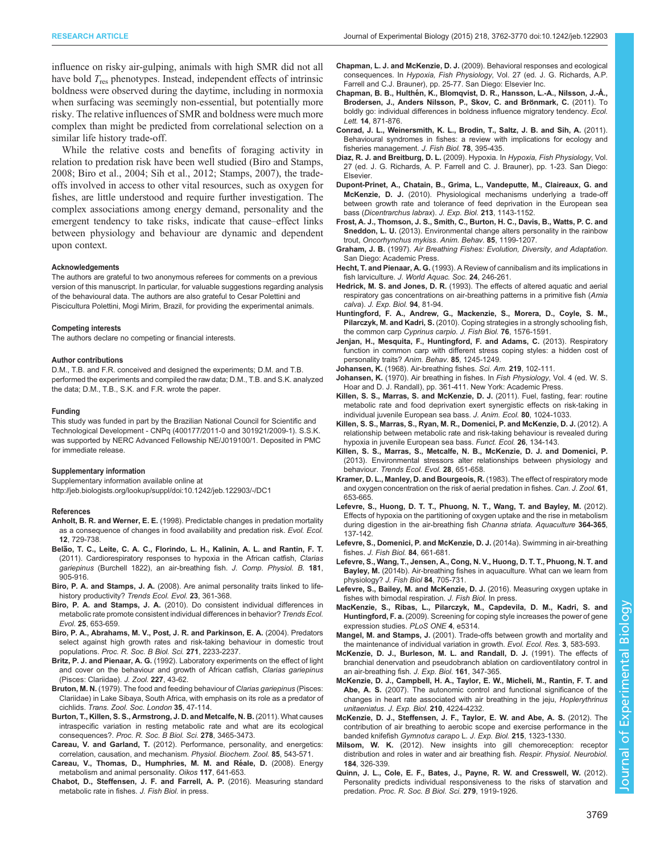<span id="page-8-0"></span>influence on risky air-gulping, animals with high SMR did not all have bold  $T_{res}$  phenotypes. Instead, independent effects of intrinsic boldness were observed during the daytime, including in normoxia when surfacing was seemingly non-essential, but potentially more risky. The relative influences of SMR and boldness were much more complex than might be predicted from correlational selection on a similar life history trade-off.

While the relative costs and benefits of foraging activity in relation to predation risk have been well studied (Biro and Stamps, 2008; Biro et al., 2004; [Sih et al., 2012](#page-9-0); [Stamps, 2007\)](#page-9-0), the tradeoffs involved in access to other vital resources, such as oxygen for fishes, are little understood and require further investigation. The complex associations among energy demand, personality and the emergent tendency to take risks, indicate that cause–effect links between physiology and behaviour are dynamic and dependent upon context.

#### Acknowledgements

The authors are grateful to two anonymous referees for comments on a previous version of this manuscript. In particular, for valuable suggestions regarding analysis of the behavioural data. The authors are also grateful to Cesar Polettini and Piscicultura Polettini, Mogi Mirim, Brazil, for providing the experimental animals.

#### Competing interests

The authors declare no competing or financial interests.

#### Author contributions

D.M., T.B. and F.R. conceived and designed the experiments; D.M. and T.B. performed the experiments and compiled the raw data; D.M., T.B. and S.K. analyzed the data; D.M., T.B., S.K. and F.R. wrote the paper.

#### Funding

This study was funded in part by the Brazilian National Council for Scientific and Technological Development - CNPq (400177/2011-0 and 301921/2009-1). S.S.K. was supported by NERC Advanced Fellowship NE/J019100/1. Deposited in PMC for immediate release.

#### Supplementary information

Supplementary information available online at <http://jeb.biologists.org/lookup/suppl/doi:10.1242/jeb.122903/-/DC1>

#### References

- Anholt, B. R. and Werner, E. E. [\(1998\). Predictable changes in predation mortality](http://dx.doi.org/10.1023/A:1006589616931) [as a consequence of changes in food availability and predation risk.](http://dx.doi.org/10.1023/A:1006589616931) Evol. Ecol. 12[, 729-738.](http://dx.doi.org/10.1023/A:1006589616931)
- Belão, T. C., Leite, C. A. C., Florindo, L. H., Kalinin, A. L. and Rantin, F. T. ̃ [\(2011\). Cardiorespiratory responses to hypoxia in the African catfish,](http://dx.doi.org/10.1007/s00360-011-0577-z) Clarias gariepinus [\(Burchell 1822\), an air-breathing fish.](http://dx.doi.org/10.1007/s00360-011-0577-z) J. Comp. Physiol. B. 181, [905-916.](http://dx.doi.org/10.1007/s00360-011-0577-z)
- Biro, P. A. and Stamps, J. A. [\(2008\). Are animal personality traits linked to life](http://dx.doi.org/10.1016/j.tree.2008.04.003)[history productivity?](http://dx.doi.org/10.1016/j.tree.2008.04.003) Trends Ecol. Evol. 23, 361-368.
- Biro, P. A. and Stamps, J. A. [\(2010\). Do consistent individual differences in](http://dx.doi.org/10.1016/j.tree.2010.08.003) [metabolic rate promote consistent individual differences in behavior?](http://dx.doi.org/10.1016/j.tree.2010.08.003) Trends Ecol. Evol. 25[, 653-659.](http://dx.doi.org/10.1016/j.tree.2010.08.003)
- [Biro, P. A., Abrahams, M. V., Post, J. R. and Parkinson, E. A.](http://dx.doi.org/10.1098/rspb.2004.2861) (2004). Predators [select against high growth rates and risk-taking behaviour in domestic trout](http://dx.doi.org/10.1098/rspb.2004.2861) populations. [Proc. R. Soc. B Biol. Sci.](http://dx.doi.org/10.1098/rspb.2004.2861) 271, 2233-2237.
- Britz, P. J. and Pienaar, A. G. [\(1992\). Laboratory experiments on the effect of light](http://dx.doi.org/10.1111/j.1469-7998.1992.tb04343.x) [and cover on the behaviour and growth of African catfish,](http://dx.doi.org/10.1111/j.1469-7998.1992.tb04343.x) Clarias gariepinus [\(Pisces: Clariidae\).](http://dx.doi.org/10.1111/j.1469-7998.1992.tb04343.x) J. Zool. 227, 43-62.
- Bruton, M. N. [\(1979\). The food and feeding behaviour of](http://dx.doi.org/10.1111/j.1096-3642.1979.tb00057.x) Clarias gariepinus (Pisces: [Clariidae\) in Lake Sibaya, South Africa, with emphasis on its role as a predator of](http://dx.doi.org/10.1111/j.1096-3642.1979.tb00057.x) cichlids. [Trans. Zool. Soc. London](http://dx.doi.org/10.1111/j.1096-3642.1979.tb00057.x) 35, 47-114.
- [Burton, T., Killen, S. S., Armstrong, J. D. and Metcalfe, N. B.](http://dx.doi.org/10.1098/rspb.2011.1778) (2011). What causes [intraspecific variation in resting metabolic rate and what are its ecological](http://dx.doi.org/10.1098/rspb.2011.1778) consequences?. [Proc. R. Soc. B Biol. Sci.](http://dx.doi.org/10.1098/rspb.2011.1778) 278, 3465-3473.
- Careau, V. and Garland, T. [\(2012\). Performance, personality, and energetics:](http://dx.doi.org/10.1086/666970) [correlation, causation, and mechanism.](http://dx.doi.org/10.1086/666970) Physiol. Biochem. Zool. 85, 543-571.
- [Careau, V., Thomas, D., Humphries, M. M. and Re](http://dx.doi.org/10.1111/j.0030-1299.2008.16513.x)́ale, D. (2008). Energy [metabolism and animal personality.](http://dx.doi.org/10.1111/j.0030-1299.2008.16513.x) Oikos 117, 641-653.
- Chabot, D., Steffensen, J. F. and Farrell, A. P. (2016). Measuring standard metabolic rate in fishes. J. Fish Biol. in press.
- Chapman, L. J. and McKenzie, D. J. (2009). Behavioral responses and ecological consequences. In Hypoxia, Fish Physiology, Vol. 27 (ed. J. G. Richards, A.P. Farrell and C.J. Brauner), pp. 25-77. San Diego: Elsevier Inc.
- Chapman, B. B., Hulthé[n, K., Blomqvist, D. R., Hansson, L.-A., Nilsson, J.-Å.,](http://dx.doi.org/10.1111/j.1461-0248.2011.01648.x) Brodersen, J., Anders Nilsson, P., Skov, C. and Brönmark, C. (2011). To [boldly go: individual differences in boldness influence migratory tendency.](http://dx.doi.org/10.1111/j.1461-0248.2011.01648.x) Ecol. Lett. 14[, 871-876.](http://dx.doi.org/10.1111/j.1461-0248.2011.01648.x)
- [Conrad, J. L., Weinersmith, K. L., Brodin, T., Saltz, J. B. and Sih, A.](http://dx.doi.org/10.1111/j.1095-8649.2010.02874.x) (2011). [Behavioural syndromes in fishes: a review with implications for ecology and](http://dx.doi.org/10.1111/j.1095-8649.2010.02874.x) [fisheries management.](http://dx.doi.org/10.1111/j.1095-8649.2010.02874.x) J. Fish Biol. 78, 395-435.
- Diaz, R. J. and Breitburg, D. L. (2009). Hypoxia. In Hypoxia, Fish Physiology, Vol. 27 (ed. J. G. Richards, A. P. Farrell and C. J. Brauner), pp. 1-23. San Diego: Elsevier.
- [Dupont-Prinet, A., Chatain, B., Grima, L., Vandeputte, M., Claireaux, G. and](http://dx.doi.org/10.1242/jeb.037812) McKenzie, D. J. [\(2010\). Physiological mechanisms underlying a trade-off](http://dx.doi.org/10.1242/jeb.037812) [between growth rate and tolerance of feed deprivation in the European sea](http://dx.doi.org/10.1242/jeb.037812) bass ([Dicentrarchus labrax](http://dx.doi.org/10.1242/jeb.037812)). J. Exp. Biol. 213, 1143-1152.
- [Frost, A. J., Thomson, J. S., Smith, C., Burton, H. C., Davis, B., Watts, P. C. and](http://dx.doi.org/10.1016/j.anbehav.2013.03.006) Sneddon, L. U. [\(2013\). Environmental change alters personality in the rainbow](http://dx.doi.org/10.1016/j.anbehav.2013.03.006) trout, [Oncorhynchus mykiss](http://dx.doi.org/10.1016/j.anbehav.2013.03.006). Anim. Behav. 85, 1199-1207.
- Graham, J. B. (1997). Air Breathing Fishes: Evolution, Diversity, and Adaptation. San Diego: Academic Press.
- Hecht, T. and Pienaar, A. G. [\(1993\). A Review of cannibalism and its implications in](http://dx.doi.org/10.1111/j.1749-7345.1993.tb00014.x) fish larviculture. [J. World Aquac. Soc.](http://dx.doi.org/10.1111/j.1749-7345.1993.tb00014.x) 24, 246-261.
- Hedrick, M. S. and Jones, D. R. (1993). The effects of altered aquatic and aerial respiratory gas concentrations on air-breathing patterns in a primitive fish (Amia calva). J. Exp. Biol. 94, 81-94.
- [Huntingford, F. A., Andrew, G., Mackenzie, S., Morera, D., Coyle, S. M.,](http://dx.doi.org/10.1111/j.1095-8649.2010.02582.x) Pilarczyk, M. and Kadri, S. [\(2010\). Coping strategies in a strongly schooling fish,](http://dx.doi.org/10.1111/j.1095-8649.2010.02582.x) [the common carp](http://dx.doi.org/10.1111/j.1095-8649.2010.02582.x) Cyprinus carpio. J. Fish Biol. 76, 1576-1591.
- [Jenjan, H., Mesquita, F., Huntingford, F. and Adams, C.](http://dx.doi.org/10.1016/j.anbehav.2013.03.011) (2013). Respiratory [function in common carp with different stress coping styles: a hidden cost of](http://dx.doi.org/10.1016/j.anbehav.2013.03.011) [personality traits?](http://dx.doi.org/10.1016/j.anbehav.2013.03.011) Anim. Behav. 85, 1245-1249.
- Johansen, K. [\(1968\). Air-breathing fishes.](http://dx.doi.org/10.1038/scientificamerican1068-102) Sci. Am. 219, 102-111.
- Johansen, K. (1970). Air breathing in fishes. In Fish Physiology, Vol. 4 (ed. W. S. Hoar and D. J. Randall), pp. 361-411. New York: Academic Press.
- [Killen, S. S., Marras, S. and McKenzie, D. J.](http://dx.doi.org/10.1111/j.1365-2656.2011.01844.x) (2011). Fuel, fasting, fear: routine [metabolic rate and food deprivation exert synergistic effects on risk-taking in](http://dx.doi.org/10.1111/j.1365-2656.2011.01844.x) [individual juvenile European sea bass.](http://dx.doi.org/10.1111/j.1365-2656.2011.01844.x) J. Anim. Ecol. 80, 1024-1033.
- [Killen, S. S., Marras, S., Ryan, M. R., Domenici, P. and McKenzie, D. J.](http://dx.doi.org/10.1111/j.1365-2435.2011.01920.x) (2012). A [relationship between metabolic rate and risk-taking behaviour is revealed during](http://dx.doi.org/10.1111/j.1365-2435.2011.01920.x) [hypoxia in juvenile European sea bass.](http://dx.doi.org/10.1111/j.1365-2435.2011.01920.x) Funct. Ecol. 26, 134-143.
- [Killen, S. S., Marras, S., Metcalfe, N. B., McKenzie, D. J. and Domenici, P.](http://dx.doi.org/10.1016/j.tree.2013.05.005) [\(2013\). Environmental stressors alter relationships between physiology and](http://dx.doi.org/10.1016/j.tree.2013.05.005) behaviour. [Trends Ecol. Evol.](http://dx.doi.org/10.1016/j.tree.2013.05.005) 28, 651-658.
- [Kramer, D. L., Manley, D. and Bourgeois, R.](http://dx.doi.org/10.1139/z83-087) (1983). The effect of respiratory mode [and oxygen concentration on the risk of aerial predation in fishes.](http://dx.doi.org/10.1139/z83-087) Can. J. Zool. 61, [653-665.](http://dx.doi.org/10.1139/z83-087)
- [Lefevre, S., Huong, D. T. T., Phuong, N. T., Wang, T. and Bayley, M.](http://dx.doi.org/10.1016/j.aquaculture.2012.08.019) (2012). [Effects of hypoxia on the partitioning of oxygen uptake and the rise in metabolism](http://dx.doi.org/10.1016/j.aquaculture.2012.08.019) [during digestion in the air-breathing fish](http://dx.doi.org/10.1016/j.aquaculture.2012.08.019) Channa striata. Aquaculture 364-365, [137-142.](http://dx.doi.org/10.1016/j.aquaculture.2012.08.019)
- [Lefevre, S., Domenici, P. and McKenzie, D. J.](http://dx.doi.org/10.1111/jfb.12308) (2014a). Swimming in air-breathing fishes. [J. Fish Biol.](http://dx.doi.org/10.1111/jfb.12308) 84, 661-681.
- [Lefevre, S., Wang, T., Jensen, A., Cong, N. V., Huong, D. T. T., Phuong, N. T. and](http://dx.doi.org/10.1111/jfb.12302) Bayley, M. [\(2014b\). Air-breathing fishes in aquaculture. What can we learn from](http://dx.doi.org/10.1111/jfb.12302) [physiology?](http://dx.doi.org/10.1111/jfb.12302) J. Fish Biol 84, 705-731.
- [Lefevre, S., Bailey, M. and McKenzie, D. J.](http://dx.doi.org/10.1111/jfb.12698) (2016). Measuring oxygen uptake in [fishes with bimodal respiration.](http://dx.doi.org/10.1111/jfb.12698) J. Fish Biol. In press.
- [MacKenzie, S., Ribas, L., Pilarczyk, M., Capdevila, D. M., Kadri, S. and](http://dx.doi.org/10.1371/journal.pone.0005314) Huntingford, F. a. [\(2009\). Screening for coping style increases the power of gene](http://dx.doi.org/10.1371/journal.pone.0005314) [expression studies.](http://dx.doi.org/10.1371/journal.pone.0005314) PLoS ONE 4, e5314.
- Mangel, M. and Stamps, J. (2001). Trade-offs between growth and mortality and the maintenance of individual variation in growth. Evol. Ecol. Res. 3, 583-593.
- McKenzie, D. J., Burleson, M. L. and Randall, D. J. (1991). The effects of branchial denervation and pseudobranch ablation on cardioventilatory control in an air-breathing fish. J. Exp. Biol. 161, 347-365.
- [McKenzie, D. J., Campbell, H. A., Taylor, E. W., Micheli, M., Rantin, F. T. and](http://dx.doi.org/10.1242/jeb.009266) Abe, A. S. [\(2007\). The autonomic control and functional significance of the](http://dx.doi.org/10.1242/jeb.009266) [changes in heart rate associated with air breathing in the jeju,](http://dx.doi.org/10.1242/jeb.009266) Hoplerythrinus unitaeniatus. J. Exp. Biol. 210[, 4224-4232.](http://dx.doi.org/10.1242/jeb.009266)
- [McKenzie, D. J., Steffensen, J. F., Taylor, E. W. and Abe, A. S.](http://dx.doi.org/10.1242/jeb.064543) (2012). The [contribution of air breathing to aerobic scope and exercise performance in the](http://dx.doi.org/10.1242/jeb.064543) banded knifefish [Gymnotus carapo](http://dx.doi.org/10.1242/jeb.064543) L. J. Exp. Biol. 215, 1323-1330.
- Milsom, W. K. [\(2012\). New insights into gill chemoreception: receptor](http://dx.doi.org/10.1016/j.resp.2012.07.013) [distribution and roles in water and air breathing fish.](http://dx.doi.org/10.1016/j.resp.2012.07.013) Respir. Physiol. Neurobiol. 184[, 326-339.](http://dx.doi.org/10.1016/j.resp.2012.07.013)
- [Quinn, J. L., Cole, E. F., Bates, J., Payne, R. W. and Cresswell, W.](http://dx.doi.org/10.1098/rspb.2011.2227) (2012). [Personality predicts individual responsiveness to the risks of starvation and](http://dx.doi.org/10.1098/rspb.2011.2227) predation. [Proc. R. Soc. B Biol. Sci.](http://dx.doi.org/10.1098/rspb.2011.2227) 279, 1919-1926.